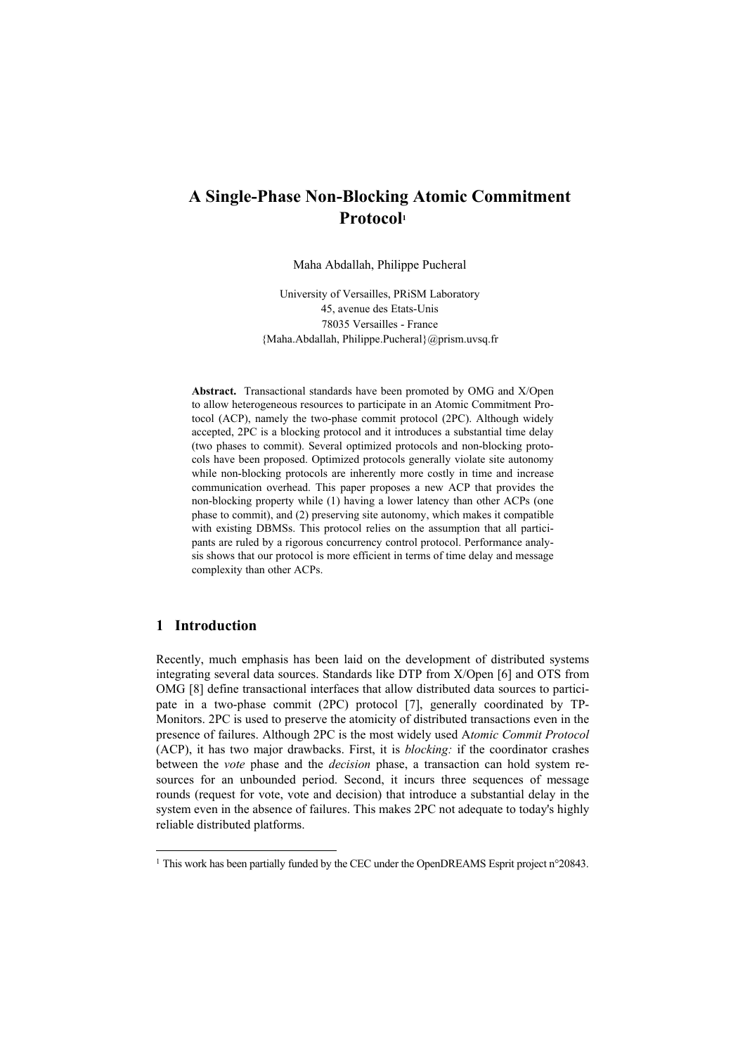# **A Single-Phase Non-Blocking Atomic Commitment Protoco[l1](#page-0-0)**

Maha Abdallah, Philippe Pucheral

University of Versailles, PRiSM Laboratory 45, avenue des Etats-Unis 78035 Versailles - France {Maha.Abdallah, Philippe.Pucheral}@prism.uvsq.fr

**Abstract.** Transactional standards have been promoted by OMG and X/Open to allow heterogeneous resources to participate in an Atomic Commitment Protocol (ACP), namely the two-phase commit protocol (2PC). Although widely accepted, 2PC is a blocking protocol and it introduces a substantial time delay (two phases to commit). Several optimized protocols and non-blocking protocols have been proposed. Optimized protocols generally violate site autonomy while non-blocking protocols are inherently more costly in time and increase communication overhead. This paper proposes a new ACP that provides the non-blocking property while (1) having a lower latency than other ACPs (one phase to commit), and (2) preserving site autonomy, which makes it compatible with existing DBMSs. This protocol relies on the assumption that all participants are ruled by a rigorous concurrency control protocol. Performance analysis shows that our protocol is more efficient in terms of time delay and message complexity than other ACPs.

## **1 Introduction**

l

Recently, much emphasis has been laid on the development of distributed systems integrating several data sources. Standards like DTP from X/Open [6] and OTS from OMG [8] define transactional interfaces that allow distributed data sources to participate in a two-phase commit (2PC) protocol [7], generally coordinated by TP-Monitors. 2PC is used to preserve the atomicity of distributed transactions even in the presence of failures. Although 2PC is the most widely used A*tomic Commit Protocol* (ACP), it has two major drawbacks. First, it is *blocking:* if the coordinator crashes between the *vote* phase and the *decision* phase, a transaction can hold system resources for an unbounded period. Second, it incurs three sequences of message rounds (request for vote, vote and decision) that introduce a substantial delay in the system even in the absence of failures. This makes 2PC not adequate to today's highly reliable distributed platforms.

<span id="page-0-0"></span><sup>&</sup>lt;sup>1</sup> This work has been partially funded by the CEC under the OpenDREAMS Esprit project n°20843.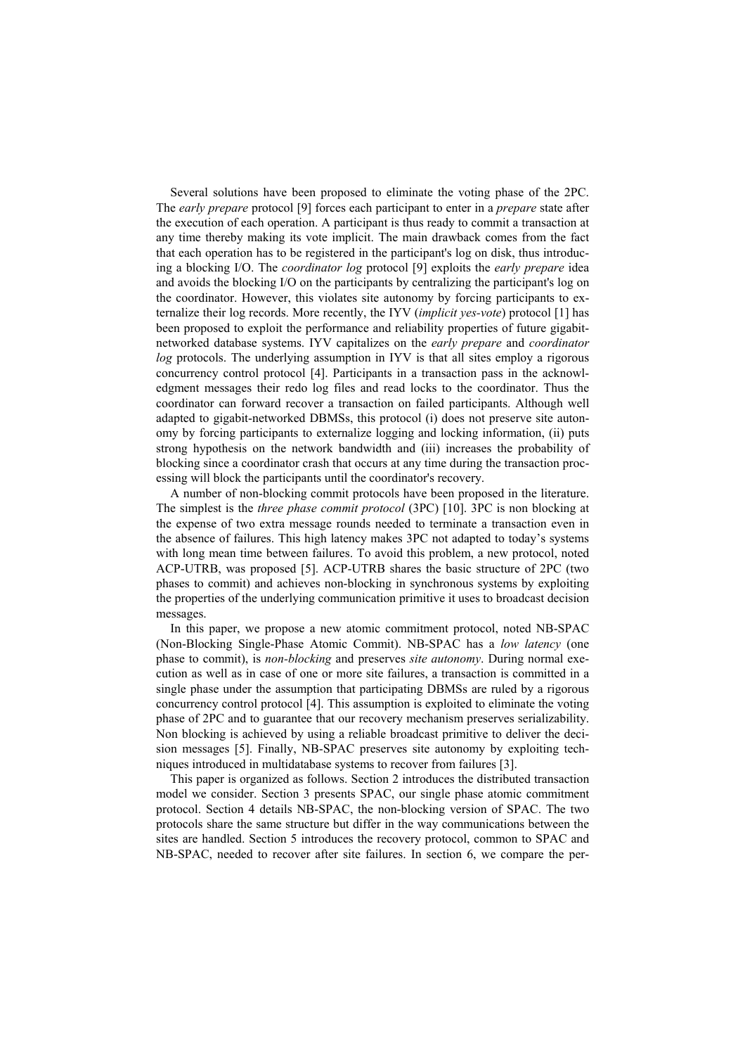Several solutions have been proposed to eliminate the voting phase of the 2PC. The *early prepare* protocol [9] forces each participant to enter in a *prepare* state after the execution of each operation. A participant is thus ready to commit a transaction at any time thereby making its vote implicit. The main drawback comes from the fact that each operation has to be registered in the participant's log on disk, thus introducing a blocking I/O. The *coordinator log* protocol [9] exploits the *early prepare* idea and avoids the blocking I/O on the participants by centralizing the participant's log on the coordinator. However, this violates site autonomy by forcing participants to externalize their log records. More recently, the IYV (*implicit yes-vote*) protocol [1] has been proposed to exploit the performance and reliability properties of future gigabitnetworked database systems. IYV capitalizes on the *early prepare* and *coordinator log* protocols. The underlying assumption in IYV is that all sites employ a rigorous concurrency control protocol [4]. Participants in a transaction pass in the acknowledgment messages their redo log files and read locks to the coordinator. Thus the coordinator can forward recover a transaction on failed participants. Although well adapted to gigabit-networked DBMSs, this protocol (i) does not preserve site autonomy by forcing participants to externalize logging and locking information, (ii) puts strong hypothesis on the network bandwidth and (iii) increases the probability of blocking since a coordinator crash that occurs at any time during the transaction processing will block the participants until the coordinator's recovery.

A number of non-blocking commit protocols have been proposed in the literature. The simplest is the *three phase commit protocol* (3PC) [10]. 3PC is non blocking at the expense of two extra message rounds needed to terminate a transaction even in the absence of failures. This high latency makes 3PC not adapted to today's systems with long mean time between failures. To avoid this problem, a new protocol, noted ACP-UTRB, was proposed [5]. ACP-UTRB shares the basic structure of 2PC (two phases to commit) and achieves non-blocking in synchronous systems by exploiting the properties of the underlying communication primitive it uses to broadcast decision messages.

In this paper, we propose a new atomic commitment protocol, noted NB-SPAC (Non-Blocking Single-Phase Atomic Commit). NB-SPAC has a *low latency* (one phase to commit), is *non-blocking* and preserves *site autonomy*. During normal execution as well as in case of one or more site failures, a transaction is committed in a single phase under the assumption that participating DBMSs are ruled by a rigorous concurrency control protocol [4]. This assumption is exploited to eliminate the voting phase of 2PC and to guarantee that our recovery mechanism preserves serializability. Non blocking is achieved by using a reliable broadcast primitive to deliver the decision messages [5]. Finally, NB-SPAC preserves site autonomy by exploiting techniques introduced in multidatabase systems to recover from failures [3].

This paper is organized as follows. Section 2 introduces the distributed transaction model we consider. Section 3 presents SPAC, our single phase atomic commitment protocol. Section 4 details NB-SPAC, the non-blocking version of SPAC. The two protocols share the same structure but differ in the way communications between the sites are handled. Section 5 introduces the recovery protocol, common to SPAC and NB-SPAC, needed to recover after site failures. In section 6, we compare the per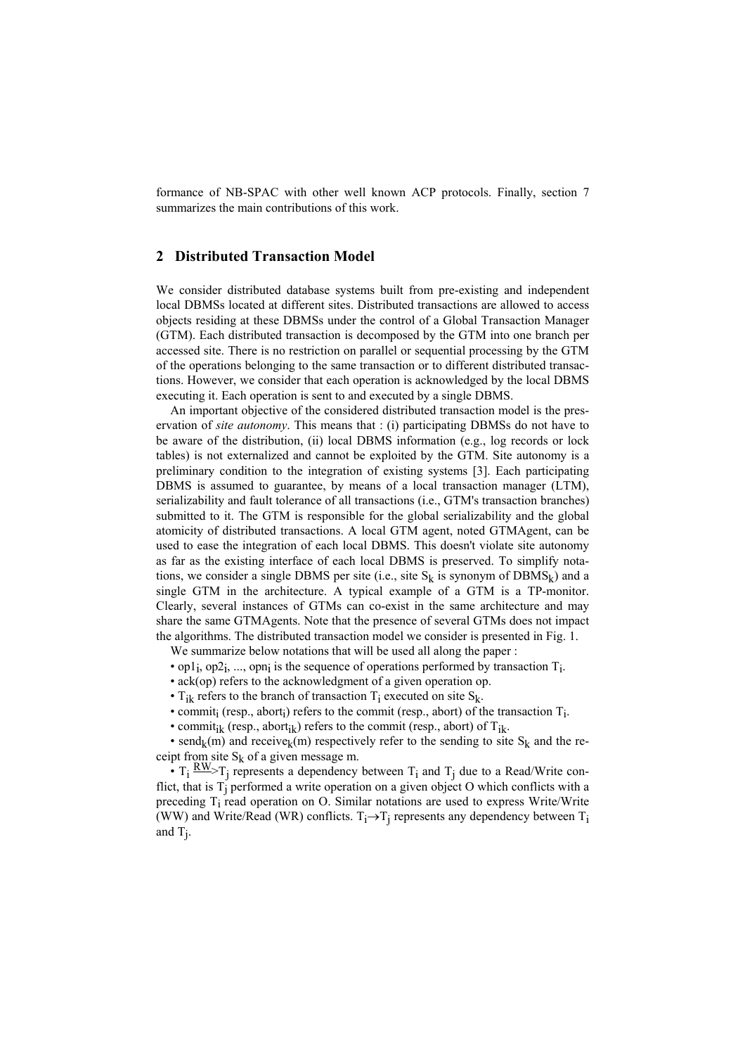formance of NB-SPAC with other well known ACP protocols. Finally, section 7 summarizes the main contributions of this work.

## **2 Distributed Transaction Model**

We consider distributed database systems built from pre-existing and independent local DBMSs located at different sites. Distributed transactions are allowed to access objects residing at these DBMSs under the control of a Global Transaction Manager (GTM). Each distributed transaction is decomposed by the GTM into one branch per accessed site. There is no restriction on parallel or sequential processing by the GTM of the operations belonging to the same transaction or to different distributed transactions. However, we consider that each operation is acknowledged by the local DBMS executing it. Each operation is sent to and executed by a single DBMS.

An important objective of the considered distributed transaction model is the preservation of *site autonomy*. This means that : (i) participating DBMSs do not have to be aware of the distribution, (ii) local DBMS information (e.g., log records or lock tables) is not externalized and cannot be exploited by the GTM. Site autonomy is a preliminary condition to the integration of existing systems [3]. Each participating DBMS is assumed to guarantee, by means of a local transaction manager (LTM), serializability and fault tolerance of all transactions (i.e., GTM's transaction branches) submitted to it. The GTM is responsible for the global serializability and the global atomicity of distributed transactions. A local GTM agent, noted GTMAgent, can be used to ease the integration of each local DBMS. This doesn't violate site autonomy as far as the existing interface of each local DBMS is preserved. To simplify notations, we consider a single DBMS per site (i.e., site  $S_k$  is synonym of DBMS<sub>k</sub>) and a single GTM in the architecture. A typical example of a GTM is a TP-monitor. Clearly, several instances of GTMs can co-exist in the same architecture and may share the same GTMAgents. Note that the presence of several GTMs does not impact the algorithms. The distributed transaction model we consider is presented in Fig. 1.

We summarize below notations that will be used all along the paper :

- op1<sub>i</sub>, op2<sub>i</sub>, ..., opn<sub>i</sub> is the sequence of operations performed by transaction  $T_i$ .
- ack(op) refers to the acknowledgment of a given operation op.
- $T_{ik}$  refers to the branch of transaction  $T_i$  executed on site  $S_k$ .
- commit<sub>i</sub> (resp., abort<sub>i</sub>) refers to the commit (resp., abort) of the transaction  $T_i$ .
- commit<sub>ik</sub> (resp., abort<sub>ik</sub>) refers to the commit (resp., abort) of  $T_{ik}$ .

• send<sub>k</sub>(m) and receive<sub>k</sub>(m) respectively refer to the sending to site  $S_k$  and the receipt from site  $S_k$  of a given message m.

•  $T_i$   $\frac{RW}{T_i}$  represents a dependency between  $T_i$  and  $T_i$  due to a Read/Write conflict, that is  $T_i$  performed a write operation on a given object O which conflicts with a preceding  $T_i$  read operation on O. Similar notations are used to express Write/Write (WW) and Write/Read (WR) conflicts.  $T_i \rightarrow T_i$  represents any dependency between  $T_i$ and  $T_i$ .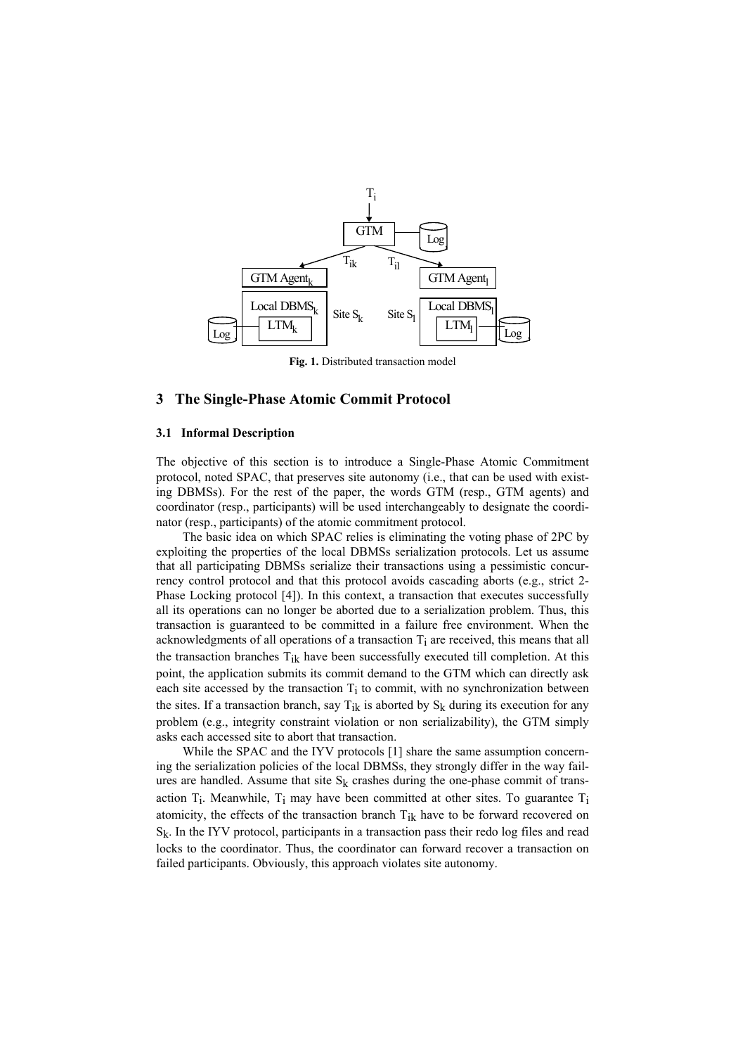

**Fig. 1.** Distributed transaction model

## **3 The Single-Phase Atomic Commit Protocol**

## **3.1 Informal Description**

The objective of this section is to introduce a Single-Phase Atomic Commitment protocol, noted SPAC, that preserves site autonomy (i.e., that can be used with existing DBMSs). For the rest of the paper, the words GTM (resp., GTM agents) and coordinator (resp., participants) will be used interchangeably to designate the coordinator (resp., participants) of the atomic commitment protocol.

The basic idea on which SPAC relies is eliminating the voting phase of 2PC by exploiting the properties of the local DBMSs serialization protocols. Let us assume that all participating DBMSs serialize their transactions using a pessimistic concurrency control protocol and that this protocol avoids cascading aborts (e.g., strict 2- Phase Locking protocol [4]). In this context, a transaction that executes successfully all its operations can no longer be aborted due to a serialization problem. Thus, this transaction is guaranteed to be committed in a failure free environment. When the acknowledgments of all operations of a transaction  $T_i$  are received, this means that all the transaction branches  $T_{ik}$  have been successfully executed till completion. At this point, the application submits its commit demand to the GTM which can directly ask each site accessed by the transaction  $T_i$  to commit, with no synchronization between the sites. If a transaction branch, say  $T_{ik}$  is aborted by  $S_k$  during its execution for any problem (e.g., integrity constraint violation or non serializability), the GTM simply asks each accessed site to abort that transaction.

While the SPAC and the IYV protocols [1] share the same assumption concerning the serialization policies of the local DBMSs, they strongly differ in the way failures are handled. Assume that site  $S_k$  crashes during the one-phase commit of transaction  $T_i$ . Meanwhile,  $T_i$  may have been committed at other sites. To guarantee  $T_i$ atomicity, the effects of the transaction branch  $T_{ik}$  have to be forward recovered on  $S_k$ . In the IYV protocol, participants in a transaction pass their redo log files and read locks to the coordinator. Thus, the coordinator can forward recover a transaction on failed participants. Obviously, this approach violates site autonomy.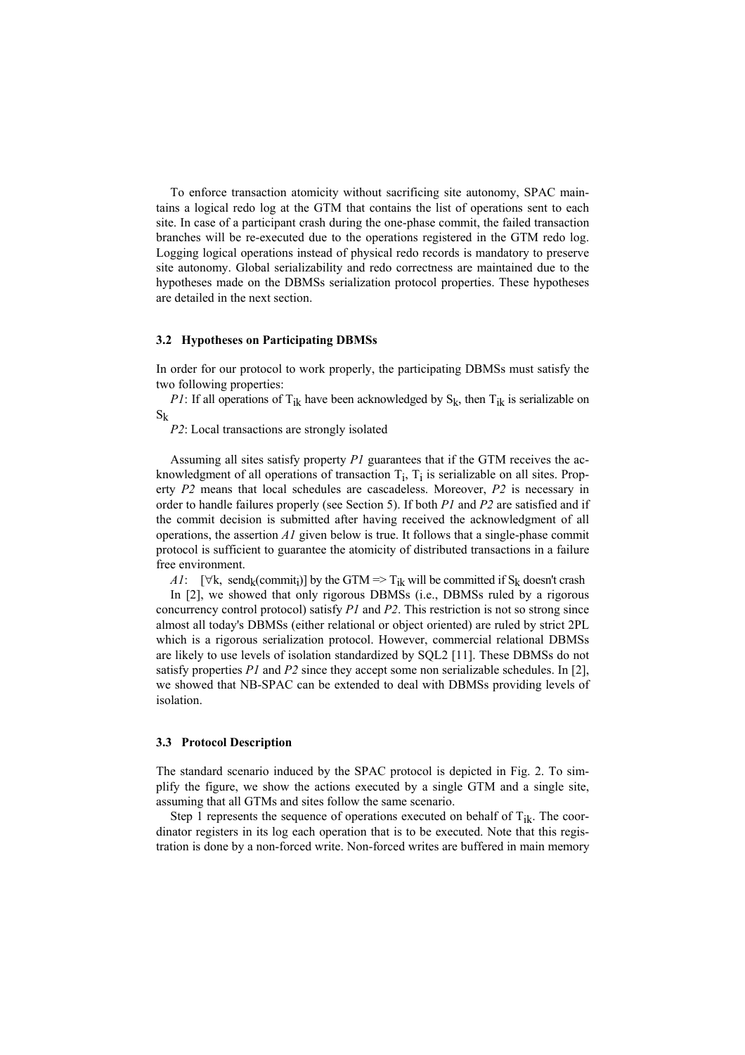To enforce transaction atomicity without sacrificing site autonomy, SPAC maintains a logical redo log at the GTM that contains the list of operations sent to each site. In case of a participant crash during the one-phase commit, the failed transaction branches will be re-executed due to the operations registered in the GTM redo log. Logging logical operations instead of physical redo records is mandatory to preserve site autonomy. Global serializability and redo correctness are maintained due to the hypotheses made on the DBMSs serialization protocol properties. These hypotheses are detailed in the next section.

#### **3.2 Hypotheses on Participating DBMSs**

In order for our protocol to work properly, the participating DBMSs must satisfy the two following properties:

*P1*: If all operations of T<sub>ik</sub> have been acknowledged by  $S_k$ , then T<sub>ik</sub> is serializable on Sk

*P2*: Local transactions are strongly isolated

Assuming all sites satisfy property *P1* guarantees that if the GTM receives the acknowledgment of all operations of transaction  $T_i$ ,  $T_i$  is serializable on all sites. Property *P2* means that local schedules are cascadeless. Moreover, *P2* is necessary in order to handle failures properly (see Section 5). If both *P1* and *P2* are satisfied and if the commit decision is submitted after having received the acknowledgment of all operations, the assertion *A1* given below is true. It follows that a single-phase commit protocol is sufficient to guarantee the atomicity of distributed transactions in a failure free environment.

*A1*: [∀k, send<sub>k</sub>(commit<sub>i</sub>)] by the GTM => T<sub>ik</sub> will be committed if S<sub>k</sub> doesn't crash

In [2], we showed that only rigorous DBMSs (i.e., DBMSs ruled by a rigorous concurrency control protocol) satisfy *P1* and *P2*. This restriction is not so strong since almost all today's DBMSs (either relational or object oriented) are ruled by strict 2PL which is a rigorous serialization protocol. However, commercial relational DBMSs are likely to use levels of isolation standardized by SQL2 [11]. These DBMSs do not satisfy properties *P1* and *P2* since they accept some non serializable schedules. In [2], we showed that NB-SPAC can be extended to deal with DBMSs providing levels of isolation.

#### **3.3 Protocol Description**

The standard scenario induced by the SPAC protocol is depicted in Fig. 2. To simplify the figure, we show the actions executed by a single GTM and a single site, assuming that all GTMs and sites follow the same scenario.

Step 1 represents the sequence of operations executed on behalf of  $T_{ik}$ . The coordinator registers in its log each operation that is to be executed. Note that this registration is done by a non-forced write. Non-forced writes are buffered in main memory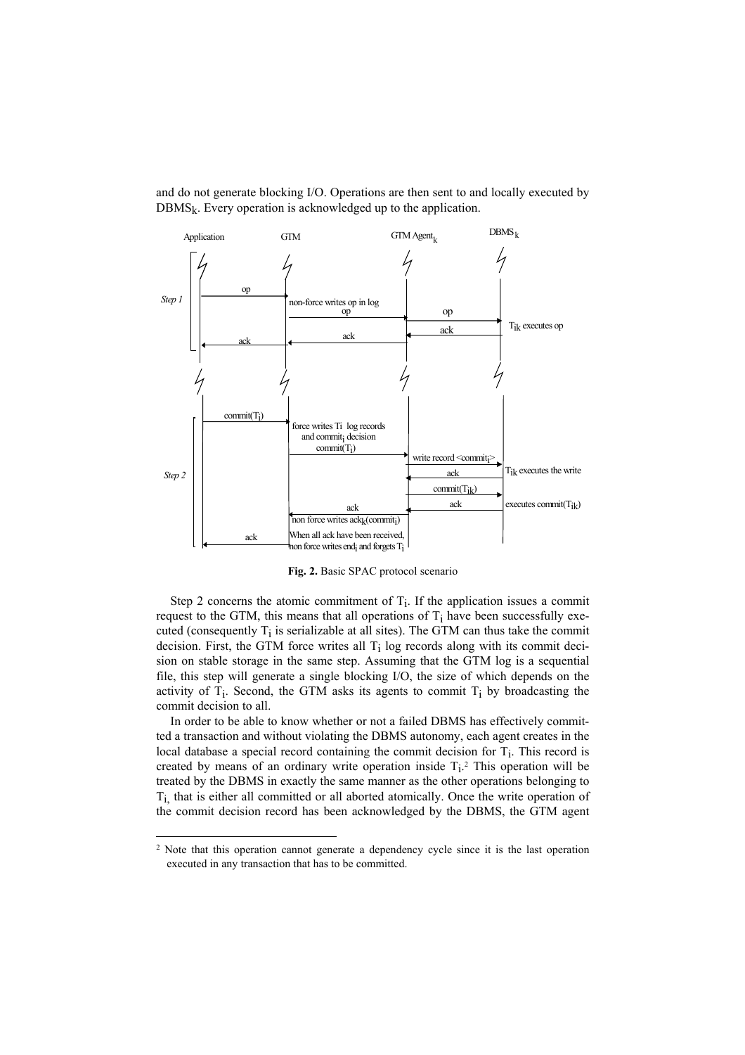



**Fig. 2.** Basic SPAC protocol scenario

Step 2 concerns the atomic commitment of  $T_i$ . If the application issues a commit request to the GTM, this means that all operations of  $T_i$  have been successfully executed (consequently  $T_i$  is serializable at all sites). The GTM can thus take the commit decision. First, the GTM force writes all Ti log records along with its commit decision on stable storage in the same step. Assuming that the GTM log is a sequential file, this step will generate a single blocking I/O, the size of which depends on the activity of  $T_i$ . Second, the GTM asks its agents to commit  $T_i$  by broadcasting the commit decision to all.

In order to be able to know whether or not a failed DBMS has effectively committed a transaction and without violating the DBMS autonomy, each agent creates in the local database a special record containing the commit decision for  $T_i$ . This record is created by means of an ordinary write operation inside  $T_i$ <sup>2</sup>. This operation will be treated by the DBMS in exactly the same manner as the other operations belonging to  $T_i$ , that is either all committed or all aborted atomically. Once the write operation of the commit decision record has been acknowledged by the DBMS, the GTM agent

l

<span id="page-5-0"></span><sup>&</sup>lt;sup>2</sup> Note that this operation cannot generate a dependency cycle since it is the last operation executed in any transaction that has to be committed.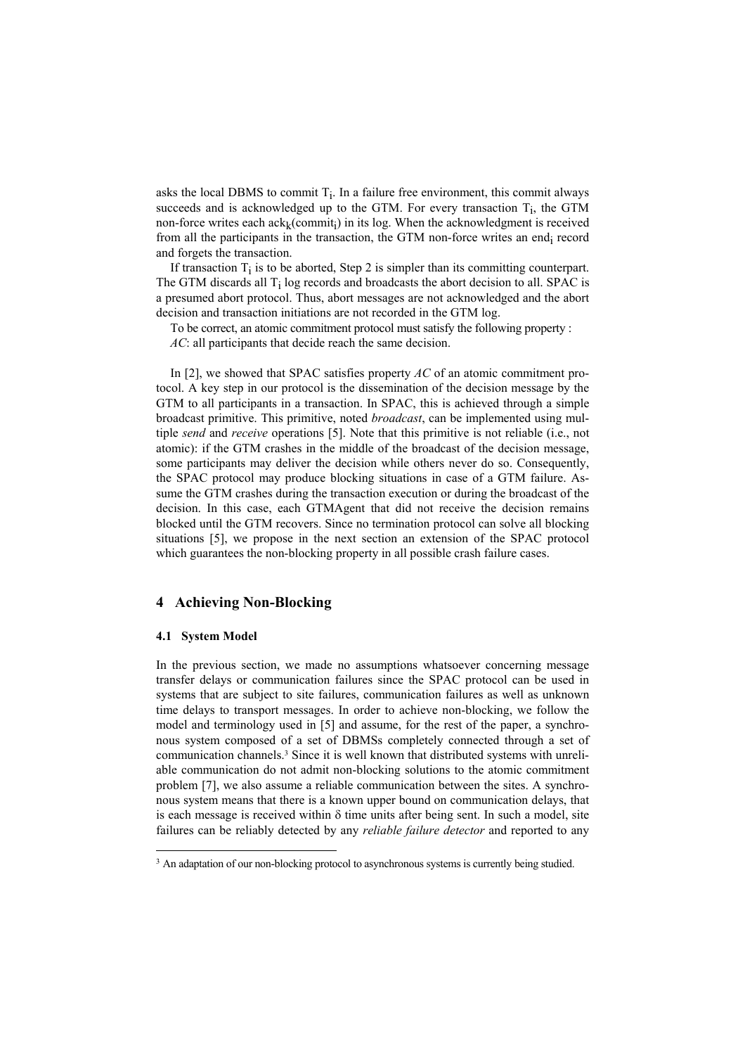asks the local DBMS to commit  $T_i$ . In a failure free environment, this commit always succeeds and is acknowledged up to the GTM. For every transaction  $T_i$ , the GTM non-force writes each  $ack<sub>k</sub>(commit<sub>i</sub>)$  in its log. When the acknowledgment is received from all the participants in the transaction, the GTM non-force writes an end<sub>i</sub> record and forgets the transaction.

If transaction  $T_i$  is to be aborted, Step 2 is simpler than its committing counterpart. The GTM discards all T<sub>i</sub> log records and broadcasts the abort decision to all. SPAC is a presumed abort protocol. Thus, abort messages are not acknowledged and the abort decision and transaction initiations are not recorded in the GTM log.

To be correct, an atomic commitment protocol must satisfy the following property :

*AC*: all participants that decide reach the same decision.

In [2], we showed that SPAC satisfies property *AC* of an atomic commitment protocol. A key step in our protocol is the dissemination of the decision message by the GTM to all participants in a transaction. In SPAC, this is achieved through a simple broadcast primitive. This primitive, noted *broadcast*, can be implemented using multiple *send* and *receive* operations [5]. Note that this primitive is not reliable (i.e., not atomic): if the GTM crashes in the middle of the broadcast of the decision message, some participants may deliver the decision while others never do so. Consequently, the SPAC protocol may produce blocking situations in case of a GTM failure. Assume the GTM crashes during the transaction execution or during the broadcast of the decision. In this case, each GTMAgent that did not receive the decision remains blocked until the GTM recovers. Since no termination protocol can solve all blocking situations [5], we propose in the next section an extension of the SPAC protocol which guarantees the non-blocking property in all possible crash failure cases.

## **4 Achieving Non-Blocking**

#### **4.1 System Model**

l

In the previous section, we made no assumptions whatsoever concerning message transfer delays or communication failures since the SPAC protocol can be used in systems that are subject to site failures, communication failures as well as unknown time delays to transport messages. In order to achieve non-blocking, we follow the model and terminology used in [5] and assume, for the rest of the paper, a synchronous system composed of a set of DBMSs completely connected through a set of communication channels[.3](#page-6-0) Since it is well known that distributed systems with unreliable communication do not admit non-blocking solutions to the atomic commitment problem [7], we also assume a reliable communication between the sites. A synchronous system means that there is a known upper bound on communication delays, that is each message is received within δ time units after being sent. In such a model, site failures can be reliably detected by any *reliable failure detector* and reported to any

<span id="page-6-0"></span><sup>&</sup>lt;sup>3</sup> An adaptation of our non-blocking protocol to asynchronous systems is currently being studied.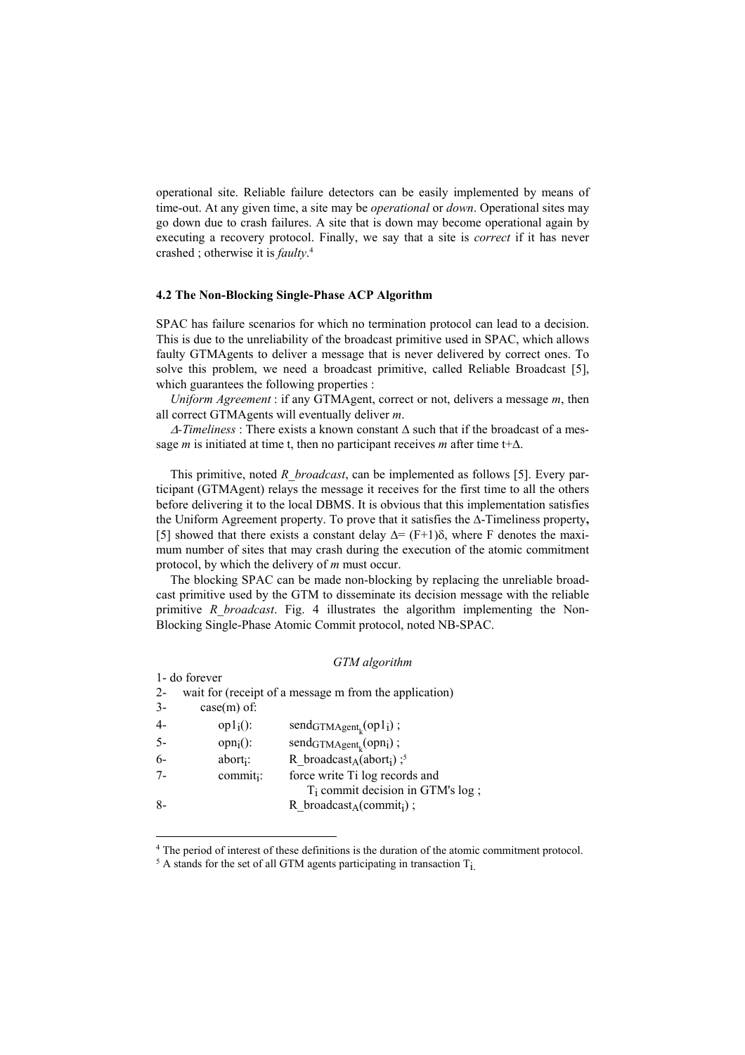operational site. Reliable failure detectors can be easily implemented by means of time-out. At any given time, a site may be *operational* or *down*. Operational sites may go down due to crash failures. A site that is down may become operational again by executing a recovery protocol. Finally, we say that a site is *correct* if it has never crashed ; otherwise it is *faulty*. [4](#page-7-0)

### **4.2 The Non-Blocking Single-Phase ACP Algorithm**

SPAC has failure scenarios for which no termination protocol can lead to a decision. This is due to the unreliability of the broadcast primitive used in SPAC, which allows faulty GTMAgents to deliver a message that is never delivered by correct ones. To solve this problem, we need a broadcast primitive, called Reliable Broadcast [5], which guarantees the following properties :

*Uniform Agreement* : if any GTMAgent, correct or not, delivers a message *m*, then all correct GTMAgents will eventually deliver *m*.

∆*-Timeliness* : There exists a known constant ∆ such that if the broadcast of a message *m* is initiated at time t, then no participant receives *m* after time t+∆.

This primitive, noted *R\_broadcast*, can be implemented as follows [5]. Every participant (GTMAgent) relays the message it receives for the first time to all the others before delivering it to the local DBMS. It is obvious that this implementation satisfies the Uniform Agreement property. To prove that it satisfies the ∆-Timeliness property**,**  [5] showed that there exists a constant delay  $\Delta = (F+1)\delta$ , where F denotes the maximum number of sites that may crash during the execution of the atomic commitment protocol, by which the delivery of *m* must occur.

The blocking SPAC can be made non-blocking by replacing the unreliable broadcast primitive used by the GTM to disseminate its decision message with the reliable primitive *R\_broadcast*. Fig. 4 illustrates the algorithm implementing the Non-Blocking Single-Phase Atomic Commit protocol, noted NB-SPAC.

#### *GTM algorithm*

| 1- do forever |                                                        |                                                              |  |  |  |  |
|---------------|--------------------------------------------------------|--------------------------------------------------------------|--|--|--|--|
| $2 -$         | wait for (receipt of a message m from the application) |                                                              |  |  |  |  |
| $3-$          | $case(m)$ of:                                          |                                                              |  |  |  |  |
| $4-$          | $op1i()$ :                                             | $send_{GTMAgent_k}(op1_i);$                                  |  |  |  |  |
| $5-$          | $opn_i()$ :                                            | $send_{GTMAgent_k}(opn_i);$                                  |  |  |  |  |
| $6-$          | abort <sub>i</sub> :                                   | R broadcast <sub>A</sub> (abort <sub>i</sub> ); <sup>5</sup> |  |  |  |  |
| $7-$          | commit <sub>i</sub> :                                  | force write Ti log records and                               |  |  |  |  |
|               |                                                        | $T_i$ commit decision in GTM's $log$ ;                       |  |  |  |  |
| $8-$          |                                                        | R broadcast <sub>A</sub> (commit <sub>i</sub> );             |  |  |  |  |
|               |                                                        |                                                              |  |  |  |  |

<span id="page-7-0"></span><sup>&</sup>lt;sup>4</sup> The period of interest of these definitions is the duration of the atomic commitment protocol. <sup>5</sup> A stands for the set of all GTM agents participating in transaction  $T_i$ .

l

<span id="page-7-1"></span>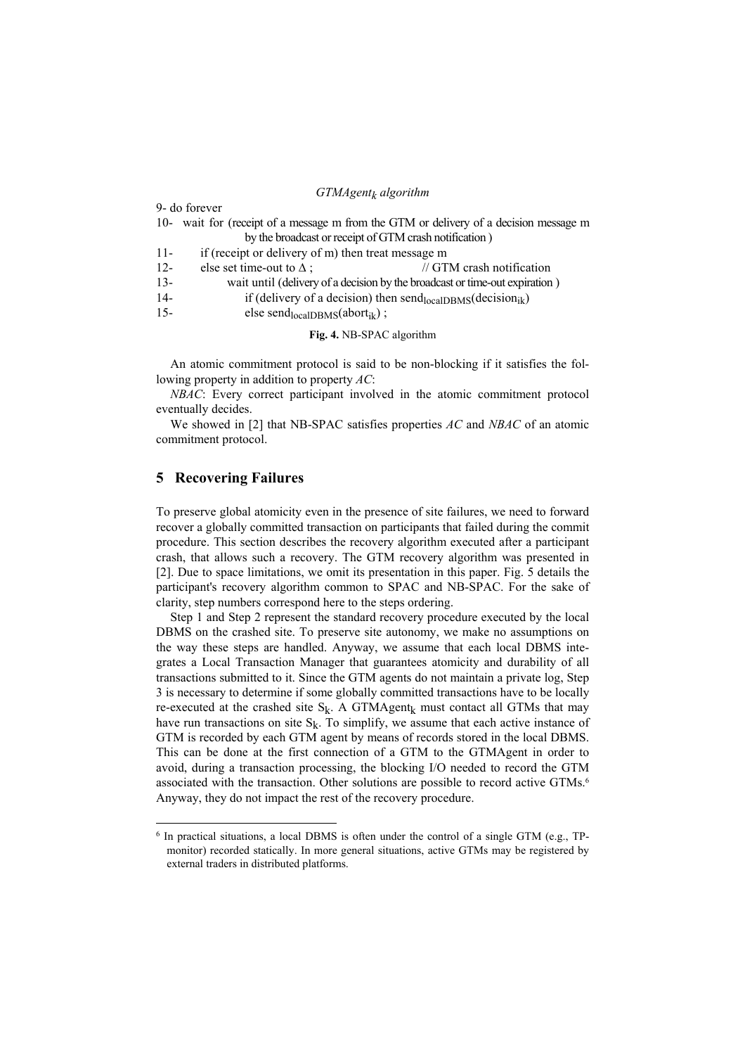#### *GTMAgentk algorithm*

|                                                        | 9- do forever                                                                         |  |  |  |  |  |  |
|--------------------------------------------------------|---------------------------------------------------------------------------------------|--|--|--|--|--|--|
|                                                        | 10- wait for (receipt of a message m from the GTM or delivery of a decision message m |  |  |  |  |  |  |
| by the broadcast or receipt of GTM crash notification) |                                                                                       |  |  |  |  |  |  |
| $11-$                                                  | if (receipt or delivery of m) then treat message m                                    |  |  |  |  |  |  |
| $12-$                                                  | else set time-out to $\Delta$ ;<br>$\theta$ GTM crash notification                    |  |  |  |  |  |  |
| $13-$                                                  | wait until (delivery of a decision by the broadcast or time-out expiration)           |  |  |  |  |  |  |
| $14-$                                                  | if (delivery of a decision) then $send_{localDBMS}(decision_{ik})$                    |  |  |  |  |  |  |
| $15 -$                                                 | else send <sub>local</sub> $DBMs(abort_{ik})$ ;                                       |  |  |  |  |  |  |
|                                                        | Fig. 4. NB-SPAC algorithm                                                             |  |  |  |  |  |  |

An atomic commitment protocol is said to be non-blocking if it satisfies the following property in addition to property *AC*:

*NBAC*: Every correct participant involved in the atomic commitment protocol eventually decides.

We showed in [2] that NB-SPAC satisfies properties *AC* and *NBAC* of an atomic commitment protocol.

## **5 Recovering Failures**

l

To preserve global atomicity even in the presence of site failures, we need to forward recover a globally committed transaction on participants that failed during the commit procedure. This section describes the recovery algorithm executed after a participant crash, that allows such a recovery. The GTM recovery algorithm was presented in [2]. Due to space limitations, we omit its presentation in this paper. Fig. 5 details the participant's recovery algorithm common to SPAC and NB-SPAC. For the sake of clarity, step numbers correspond here to the steps ordering.

Step 1 and Step 2 represent the standard recovery procedure executed by the local DBMS on the crashed site. To preserve site autonomy, we make no assumptions on the way these steps are handled. Anyway, we assume that each local DBMS integrates a Local Transaction Manager that guarantees atomicity and durability of all transactions submitted to it. Since the GTM agents do not maintain a private log, Step 3 is necessary to determine if some globally committed transactions have to be locally re-executed at the crashed site  $S_k$ . A GTMAgent<sub>k</sub> must contact all GTMs that may have run transactions on site  $S_k$ . To simplify, we assume that each active instance of GTM is recorded by each GTM agent by means of records stored in the local DBMS. This can be done at the first connection of a GTM to the GTMAgent in order to avoid, during a transaction processing, the blocking I/O needed to record the GTM associated with the transaction. Other solutions are possible to record active GTMs[.6](#page-8-0) Anyway, they do not impact the rest of the recovery procedure.

<span id="page-8-0"></span><sup>6</sup> In practical situations, a local DBMS is often under the control of a single GTM (e.g., TPmonitor) recorded statically. In more general situations, active GTMs may be registered by external traders in distributed platforms.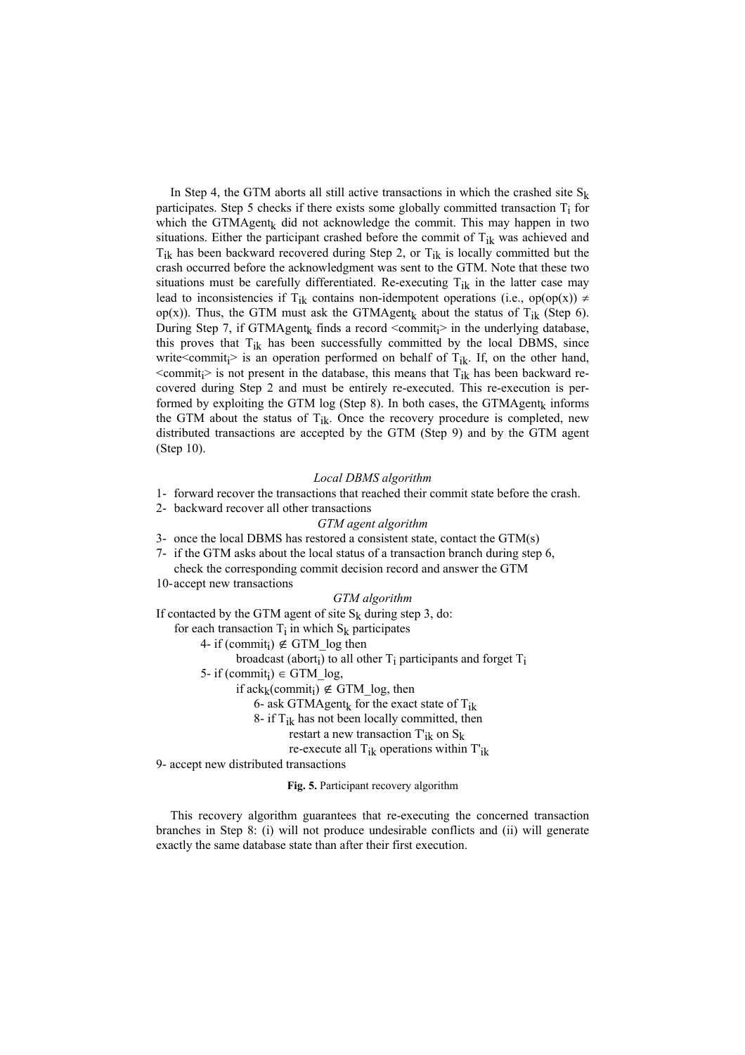In Step 4, the GTM aborts all still active transactions in which the crashed site  $S_k$ participates. Step 5 checks if there exists some globally committed transaction  $T_i$  for which the GTMAgent $_k$  did not acknowledge the commit. This may happen in two situations. Either the participant crashed before the commit of  $T_{ik}$  was achieved and  $T_{ik}$  has been backward recovered during Step 2, or  $T_{ik}$  is locally committed but the crash occurred before the acknowledgment was sent to the GTM. Note that these two situations must be carefully differentiated. Re-executing  $T_{ik}$  in the latter case may lead to inconsistencies if T<sub>ik</sub> contains non-idempotent operations (i.e., op(op(x))  $\neq$ op(x)). Thus, the GTM must ask the GTMAgent<sub>k</sub> about the status of T<sub>ik</sub> (Step 6). During Step 7, if  $GTMAgent_k$  finds a record <commitiation the underlying database, this proves that  $T_{ik}$  has been successfully committed by the local DBMS, since write<commiti> is an operation performed on behalf of  $T_{ik}$ . If, on the other hand,  $\leq$ commit<sub>i</sub> $>$  is not present in the database, this means that T<sub>ik</sub> has been backward recovered during Step 2 and must be entirely re-executed. This re-execution is performed by exploiting the GTM log (Step 8). In both cases, the GTMAgent $_k$  informs the GTM about the status of  $T_{ik}$ . Once the recovery procedure is completed, new distributed transactions are accepted by the GTM (Step 9) and by the GTM agent (Step 10).

#### *Local DBMS algorithm*

1- forward recover the transactions that reached their commit state before the crash.

2- backward recover all other transactions

#### *GTM agent algorithm*

- 3- once the local DBMS has restored a consistent state, contact the GTM(s)
- 7- if the GTM asks about the local status of a transaction branch during step 6, check the corresponding commit decision record and answer the GTM

10- accept new transactions

### *GTM algorithm*

If contacted by the GTM agent of site  $S_k$  during step 3, do:

for each transaction  $T_i$  in which  $S_k$  participates

4- if (commit<sub>i</sub>)  $\notin$  GTM\_log then

broadcast (abort<sub>i</sub>) to all other  $T_i$  participants and forget  $T_i$ 

5- if (commit<sub>i</sub>)  $\in$  GTM log,

if  $ack_k$ (commit<sub>i</sub>) ∉ GTM log, then

6- ask GTMAgent<sub>k</sub> for the exact state of  $T_{ik}$ 

8- if  $T_{ik}$  has not been locally committed, then

restart a new transaction  $T'_{ik}$  on  $S_k$ 

re-execute all  $T_{ik}$  operations within  $T'_{ik}$ 

9- accept new distributed transactions

**Fig. 5.** Participant recovery algorithm

This recovery algorithm guarantees that re-executing the concerned transaction branches in Step 8: (i) will not produce undesirable conflicts and (ii) will generate exactly the same database state than after their first execution.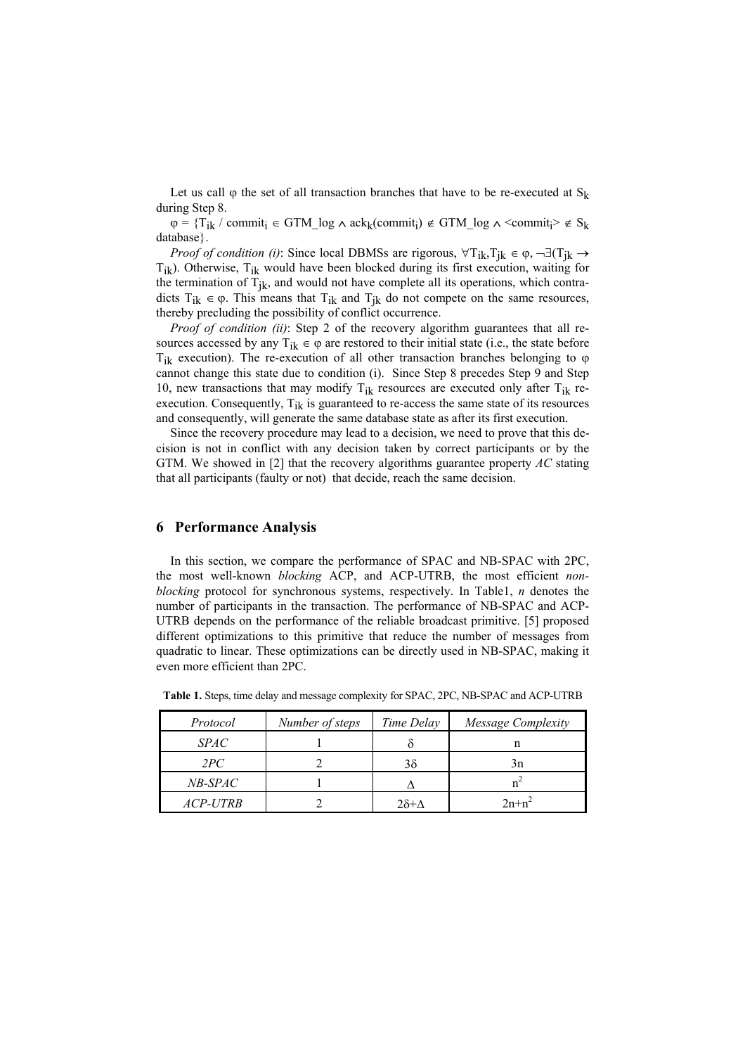Let us call  $\varphi$  the set of all transaction branches that have to be re-executed at S<sub>k</sub> during Step 8.

 $\varphi$  = {T<sub>ik</sub> / commit<sub>i</sub> ∈ GTM\_log ∧ ack<sub>k</sub>(commit<sub>i</sub>) ∉ GTM\_log ∧ <commit<sub>i</sub>> ∉ S<sub>k</sub> database}.

*Proof of condition (i)*: Since local DBMSs are rigorous,  $\forall T_{ik}, T_{jk} \in \varphi$ ,  $\neg \exists (T_{jk} \rightarrow$  $T_{ik}$ ). Otherwise,  $T_{ik}$  would have been blocked during its first execution, waiting for the termination of  $T_{ik}$ , and would not have complete all its operations, which contradicts  $T_{ik} \in \varphi$ . This means that  $T_{ik}$  and  $T_{ik}$  do not compete on the same resources, thereby precluding the possibility of conflict occurrence.

*Proof of condition (ii)*: Step 2 of the recovery algorithm guarantees that all resources accessed by any  $T_{ik} \in \varphi$  are restored to their initial state (i.e., the state before  $T_{ik}$  execution). The re-execution of all other transaction branches belonging to  $\varphi$ cannot change this state due to condition (i). Since Step 8 precedes Step 9 and Step 10, new transactions that may modify  $T_{ik}$  resources are executed only after  $T_{ik}$  reexecution. Consequently,  $T_{ik}$  is guaranteed to re-access the same state of its resources and consequently, will generate the same database state as after its first execution.

Since the recovery procedure may lead to a decision, we need to prove that this decision is not in conflict with any decision taken by correct participants or by the GTM. We showed in [2] that the recovery algorithms guarantee property *AC* stating that all participants (faulty or not) that decide, reach the same decision.

## **6 Performance Analysis**

In this section, we compare the performance of SPAC and NB-SPAC with 2PC, the most well-known *blocking* ACP, and ACP-UTRB, the most efficient *nonblocking* protocol for synchronous systems, respectively. In Table1, *n* denotes the number of participants in the transaction. The performance of NB-SPAC and ACP-UTRB depends on the performance of the reliable broadcast primitive. [5] proposed different optimizations to this primitive that reduce the number of messages from quadratic to linear. These optimizations can be directly used in NB-SPAC, making it even more efficient than 2PC.

| Protocol    | Number of steps | Time Delay          | Message Complexity |
|-------------|-----------------|---------------------|--------------------|
| <i>SPAC</i> |                 |                     | n                  |
| 2PC         |                 | 38                  | 3n                 |
| $NB$ -SPAC  |                 |                     |                    |
| ACP-UTRB    |                 | $2\delta + \Lambda$ | $2n+n^2$           |

**Table 1.** Steps, time delay and message complexity for SPAC, 2PC, NB-SPAC and ACP-UTRB